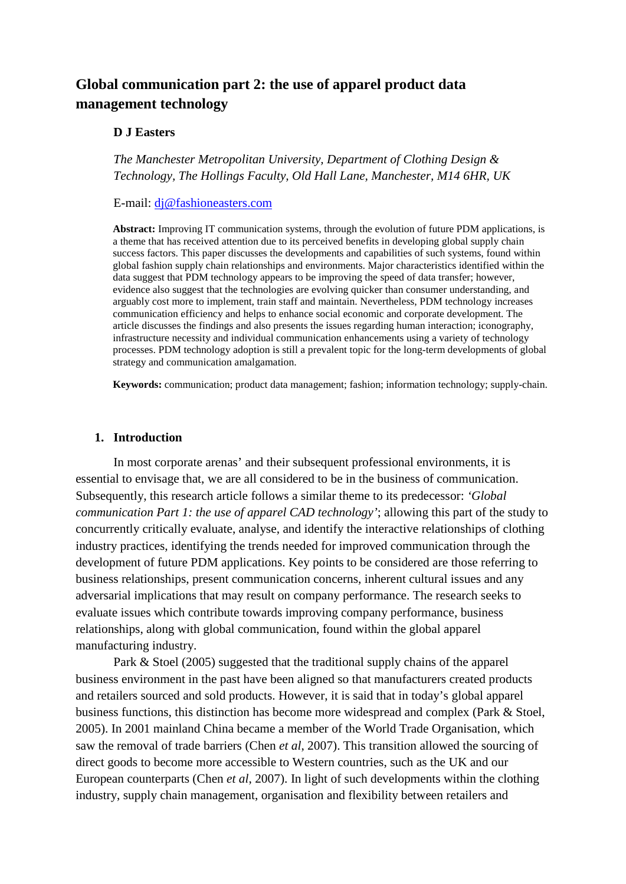# **Global communication part 2: the use of apparel product data management technology**

# **D J Easters**

*The Manchester Metropolitan University, Department of Clothing Design & Technology, The Hollings Faculty, Old Hall Lane, Manchester, M14 6HR, UK*

E-mail: [dj@fashioneasters.com](mailto:dj@fashioneasters.com)

**Abstract:** Improving IT communication systems, through the evolution of future PDM applications, is a theme that has received attention due to its perceived benefits in developing global supply chain success factors. This paper discusses the developments and capabilities of such systems, found within global fashion supply chain relationships and environments. Major characteristics identified within the data suggest that PDM technology appears to be improving the speed of data transfer; however, evidence also suggest that the technologies are evolving quicker than consumer understanding, and arguably cost more to implement, train staff and maintain. Nevertheless, PDM technology increases communication efficiency and helps to enhance social economic and corporate development. The article discusses the findings and also presents the issues regarding human interaction; iconography, infrastructure necessity and individual communication enhancements using a variety of technology processes. PDM technology adoption is still a prevalent topic for the long-term developments of global strategy and communication amalgamation.

**Keywords:** communication; product data management; fashion; information technology; supply-chain.

#### **1. Introduction**

In most corporate arenas' and their subsequent professional environments, it is essential to envisage that, we are all considered to be in the business of communication. Subsequently, this research article follows a similar theme to its predecessor: *'Global communication Part 1: the use of apparel CAD technology'*; allowing this part of the study to concurrently critically evaluate, analyse, and identify the interactive relationships of clothing industry practices, identifying the trends needed for improved communication through the development of future PDM applications. Key points to be considered are those referring to business relationships, present communication concerns, inherent cultural issues and any adversarial implications that may result on company performance. The research seeks to evaluate issues which contribute towards improving company performance, business relationships, along with global communication, found within the global apparel manufacturing industry.

Park & Stoel (2005) suggested that the traditional supply chains of the apparel business environment in the past have been aligned so that manufacturers created products and retailers sourced and sold products. However, it is said that in today's global apparel business functions, this distinction has become more widespread and complex (Park & Stoel, 2005). In 2001 mainland China became a member of the World Trade Organisation, which saw the removal of trade barriers (Chen *et al*, 2007). This transition allowed the sourcing of direct goods to become more accessible to Western countries, such as the UK and our European counterparts (Chen *et al*, 2007). In light of such developments within the clothing industry, supply chain management, organisation and flexibility between retailers and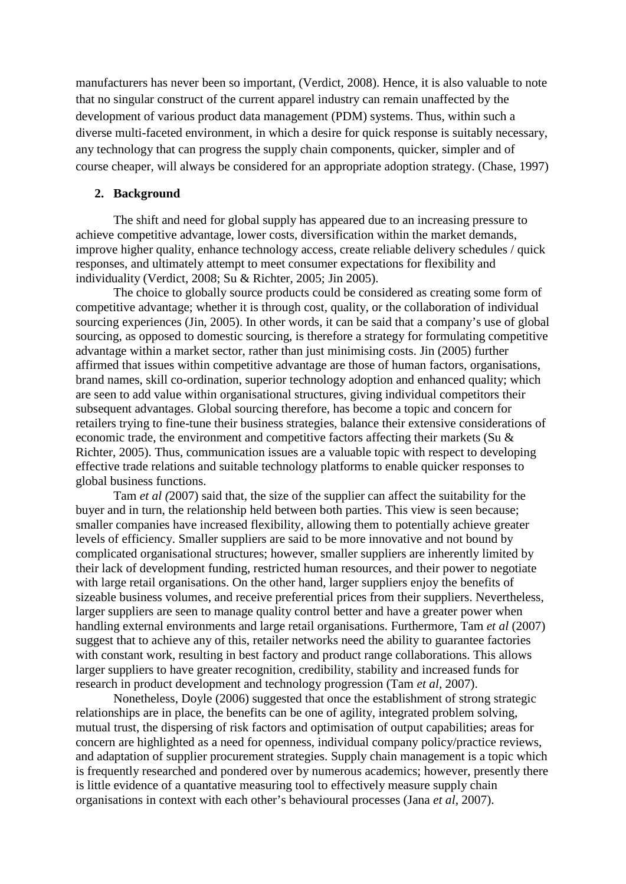manufacturers has never been so important, (Verdict, 2008). Hence, it is also valuable to note that no singular construct of the current apparel industry can remain unaffected by the development of various product data management (PDM) systems. Thus, within such a diverse multi-faceted environment, in which a desire for quick response is suitably necessary, any technology that can progress the supply chain components, quicker, simpler and of course cheaper, will always be considered for an appropriate adoption strategy. (Chase, 1997)

#### **2. Background**

The shift and need for global supply has appeared due to an increasing pressure to achieve competitive advantage, lower costs, diversification within the market demands, improve higher quality, enhance technology access, create reliable delivery schedules / quick responses, and ultimately attempt to meet consumer expectations for flexibility and individuality (Verdict, 2008; Su & Richter, 2005; Jin 2005).

The choice to globally source products could be considered as creating some form of competitive advantage; whether it is through cost, quality, or the collaboration of individual sourcing experiences (Jin, 2005). In other words, it can be said that a company's use of global sourcing, as opposed to domestic sourcing, is therefore a strategy for formulating competitive advantage within a market sector, rather than just minimising costs. Jin (2005) further affirmed that issues within competitive advantage are those of human factors, organisations, brand names, skill co-ordination, superior technology adoption and enhanced quality; which are seen to add value within organisational structures, giving individual competitors their subsequent advantages. Global sourcing therefore, has become a topic and concern for retailers trying to fine-tune their business strategies, balance their extensive considerations of economic trade, the environment and competitive factors affecting their markets (Su & Richter, 2005). Thus, communication issues are a valuable topic with respect to developing effective trade relations and suitable technology platforms to enable quicker responses to global business functions.

Tam *et al (*2007) said that, the size of the supplier can affect the suitability for the buyer and in turn, the relationship held between both parties. This view is seen because; smaller companies have increased flexibility, allowing them to potentially achieve greater levels of efficiency. Smaller suppliers are said to be more innovative and not bound by complicated organisational structures; however, smaller suppliers are inherently limited by their lack of development funding, restricted human resources, and their power to negotiate with large retail organisations. On the other hand, larger suppliers enjoy the benefits of sizeable business volumes, and receive preferential prices from their suppliers. Nevertheless, larger suppliers are seen to manage quality control better and have a greater power when handling external environments and large retail organisations. Furthermore, Tam *et al* (2007) suggest that to achieve any of this, retailer networks need the ability to guarantee factories with constant work, resulting in best factory and product range collaborations. This allows larger suppliers to have greater recognition, credibility, stability and increased funds for research in product development and technology progression (Tam *et al,* 2007).

Nonetheless, Doyle (2006) suggested that once the establishment of strong strategic relationships are in place, the benefits can be one of agility, integrated problem solving, mutual trust, the dispersing of risk factors and optimisation of output capabilities; areas for concern are highlighted as a need for openness, individual company policy/practice reviews, and adaptation of supplier procurement strategies. Supply chain management is a topic which is frequently researched and pondered over by numerous academics; however, presently there is little evidence of a quantative measuring tool to effectively measure supply chain organisations in context with each other's behavioural processes (Jana *et al,* 2007).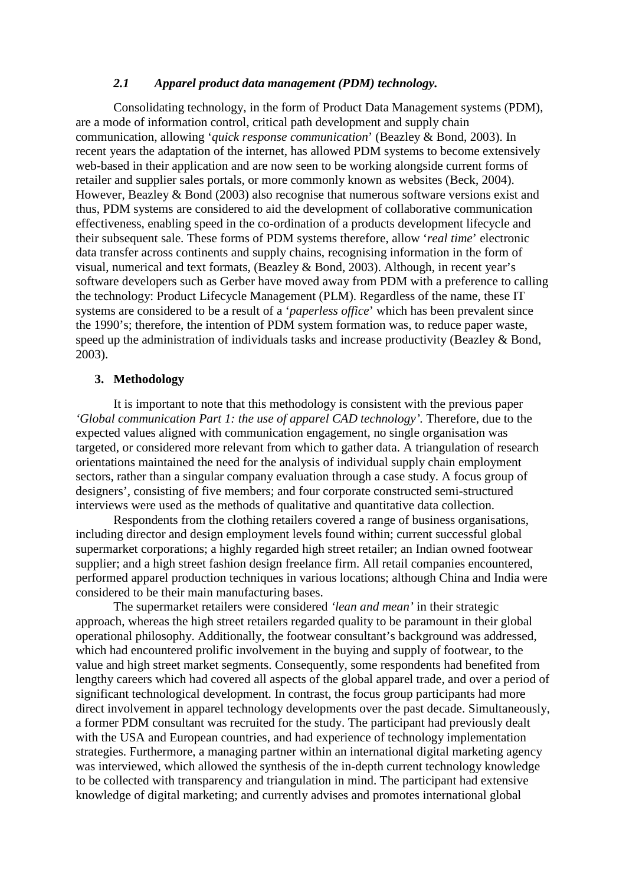## *2.1 Apparel product data management (PDM) technology.*

Consolidating technology, in the form of Product Data Management systems (PDM), are a mode of information control, critical path development and supply chain communication, allowing '*quick response communication*' (Beazley & Bond, 2003). In recent years the adaptation of the internet, has allowed PDM systems to become extensively web-based in their application and are now seen to be working alongside current forms of retailer and supplier sales portals, or more commonly known as websites (Beck, 2004). However, Beazley & Bond (2003) also recognise that numerous software versions exist and thus, PDM systems are considered to aid the development of collaborative communication effectiveness, enabling speed in the co-ordination of a products development lifecycle and their subsequent sale. These forms of PDM systems therefore, allow '*real time*' electronic data transfer across continents and supply chains, recognising information in the form of visual, numerical and text formats, (Beazley & Bond, 2003). Although, in recent year's software developers such as Gerber have moved away from PDM with a preference to calling the technology: Product Lifecycle Management (PLM). Regardless of the name, these IT systems are considered to be a result of a '*paperless office*' which has been prevalent since the 1990's; therefore, the intention of PDM system formation was, to reduce paper waste, speed up the administration of individuals tasks and increase productivity (Beazley & Bond, 2003).

#### **3. Methodology**

It is important to note that this methodology is consistent with the previous paper *'Global communication Part 1: the use of apparel CAD technology'. Therefore, due to the* expected values aligned with communication engagement, no single organisation was targeted, or considered more relevant from which to gather data. A triangulation of research orientations maintained the need for the analysis of individual supply chain employment sectors, rather than a singular company evaluation through a case study. A focus group of designers', consisting of five members; and four corporate constructed semi-structured interviews were used as the methods of qualitative and quantitative data collection.

Respondents from the clothing retailers covered a range of business organisations, including director and design employment levels found within; current successful global supermarket corporations; a highly regarded high street retailer; an Indian owned footwear supplier; and a high street fashion design freelance firm. All retail companies encountered, performed apparel production techniques in various locations; although China and India were considered to be their main manufacturing bases.

The supermarket retailers were considered *'lean and mean'* in their strategic approach, whereas the high street retailers regarded quality to be paramount in their global operational philosophy. Additionally, the footwear consultant's background was addressed, which had encountered prolific involvement in the buying and supply of footwear, to the value and high street market segments. Consequently, some respondents had benefited from lengthy careers which had covered all aspects of the global apparel trade, and over a period of significant technological development. In contrast, the focus group participants had more direct involvement in apparel technology developments over the past decade. Simultaneously, a former PDM consultant was recruited for the study. The participant had previously dealt with the USA and European countries, and had experience of technology implementation strategies. Furthermore, a managing partner within an international digital marketing agency was interviewed, which allowed the synthesis of the in-depth current technology knowledge to be collected with transparency and triangulation in mind. The participant had extensive knowledge of digital marketing; and currently advises and promotes international global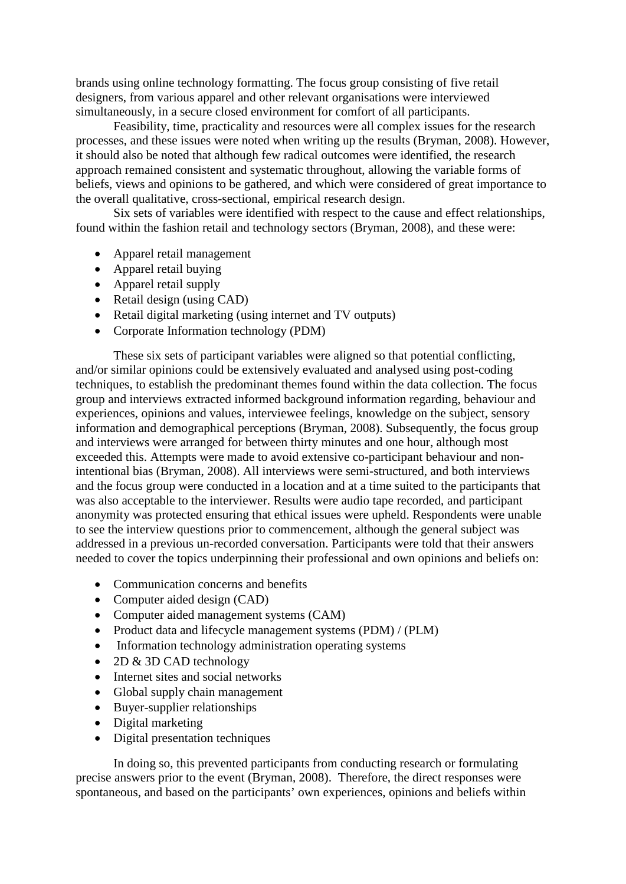brands using online technology formatting. The focus group consisting of five retail designers, from various apparel and other relevant organisations were interviewed simultaneously, in a secure closed environment for comfort of all participants.

Feasibility, time, practicality and resources were all complex issues for the research processes, and these issues were noted when writing up the results (Bryman, 2008). However, it should also be noted that although few radical outcomes were identified, the research approach remained consistent and systematic throughout, allowing the variable forms of beliefs, views and opinions to be gathered, and which were considered of great importance to the overall qualitative, cross-sectional, empirical research design.

Six sets of variables were identified with respect to the cause and effect relationships, found within the fashion retail and technology sectors (Bryman, 2008), and these were:

- Apparel retail management
- Apparel retail buying
- Apparel retail supply
- Retail design (using CAD)
- Retail digital marketing (using internet and TV outputs)
- Corporate Information technology (PDM)

These six sets of participant variables were aligned so that potential conflicting, and/or similar opinions could be extensively evaluated and analysed using post-coding techniques, to establish the predominant themes found within the data collection. The focus group and interviews extracted informed background information regarding, behaviour and experiences, opinions and values, interviewee feelings, knowledge on the subject, sensory information and demographical perceptions (Bryman, 2008). Subsequently, the focus group and interviews were arranged for between thirty minutes and one hour, although most exceeded this. Attempts were made to avoid extensive co-participant behaviour and nonintentional bias (Bryman, 2008). All interviews were semi-structured, and both interviews and the focus group were conducted in a location and at a time suited to the participants that was also acceptable to the interviewer. Results were audio tape recorded, and participant anonymity was protected ensuring that ethical issues were upheld. Respondents were unable to see the interview questions prior to commencement, although the general subject was addressed in a previous un-recorded conversation. Participants were told that their answers needed to cover the topics underpinning their professional and own opinions and beliefs on:

- Communication concerns and benefits
- Computer aided design (CAD)
- Computer aided management systems (CAM)
- Product data and lifecycle management systems (PDM) / (PLM)
- Information technology administration operating systems
- 2D & 3D CAD technology
- Internet sites and social networks
- Global supply chain management
- Buyer-supplier relationships
- Digital marketing
- Digital presentation techniques

In doing so, this prevented participants from conducting research or formulating precise answers prior to the event (Bryman, 2008). Therefore, the direct responses were spontaneous, and based on the participants' own experiences, opinions and beliefs within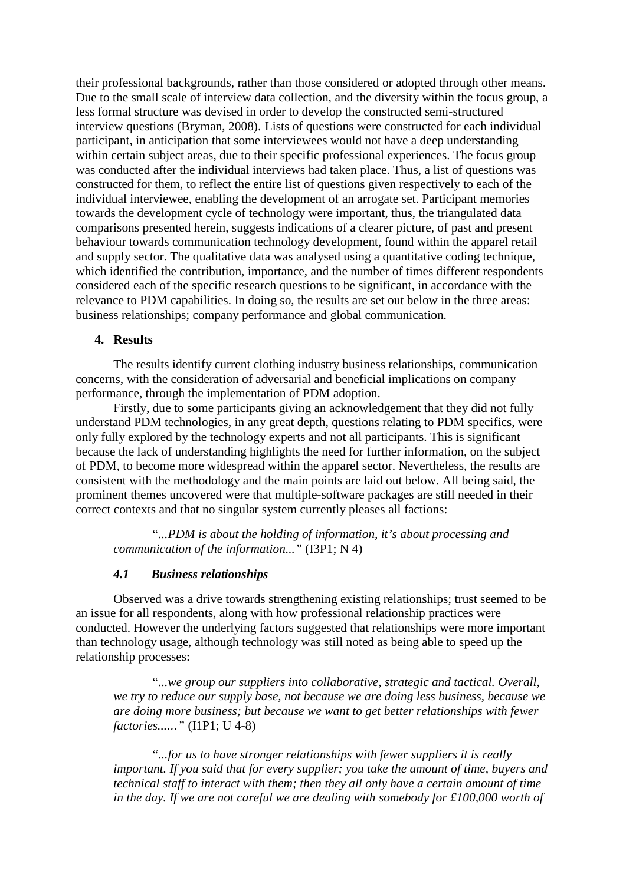their professional backgrounds, rather than those considered or adopted through other means. Due to the small scale of interview data collection, and the diversity within the focus group, a less formal structure was devised in order to develop the constructed semi-structured interview questions (Bryman, 2008). Lists of questions were constructed for each individual participant, in anticipation that some interviewees would not have a deep understanding within certain subject areas, due to their specific professional experiences. The focus group was conducted after the individual interviews had taken place. Thus, a list of questions was constructed for them, to reflect the entire list of questions given respectively to each of the individual interviewee, enabling the development of an arrogate set. Participant memories towards the development cycle of technology were important, thus, the triangulated data comparisons presented herein, suggests indications of a clearer picture, of past and present behaviour towards communication technology development, found within the apparel retail and supply sector. The qualitative data was analysed using a quantitative coding technique, which identified the contribution, importance, and the number of times different respondents considered each of the specific research questions to be significant, in accordance with the relevance to PDM capabilities. In doing so, the results are set out below in the three areas: business relationships; company performance and global communication.

## **4. Results**

The results identify current clothing industry business relationships, communication concerns, with the consideration of adversarial and beneficial implications on company performance, through the implementation of PDM adoption.

Firstly, due to some participants giving an acknowledgement that they did not fully understand PDM technologies, in any great depth, questions relating to PDM specifics, were only fully explored by the technology experts and not all participants. This is significant because the lack of understanding highlights the need for further information, on the subject of PDM, to become more widespread within the apparel sector. Nevertheless, the results are consistent with the methodology and the main points are laid out below. All being said, the prominent themes uncovered were that multiple-software packages are still needed in their correct contexts and that no singular system currently pleases all factions:

*"...PDM is about the holding of information, it's about processing and communication of the information..."* (I3P1; N 4)

## *4.1 Business relationships*

Observed was a drive towards strengthening existing relationships; trust seemed to be an issue for all respondents, along with how professional relationship practices were conducted. However the underlying factors suggested that relationships were more important than technology usage, although technology was still noted as being able to speed up the relationship processes:

*"...we group our suppliers into collaborative, strategic and tactical. Overall, we try to reduce our supply base, not because we are doing less business, because we are doing more business; but because we want to get better relationships with fewer factories......"* (I1P1; U 4-8)

*"...for us to have stronger relationships with fewer suppliers it is really important. If you said that for every supplier; you take the amount of time, buyers and technical staff to interact with them; then they all only have a certain amount of time in the day. If we are not careful we are dealing with somebody for £100,000 worth of*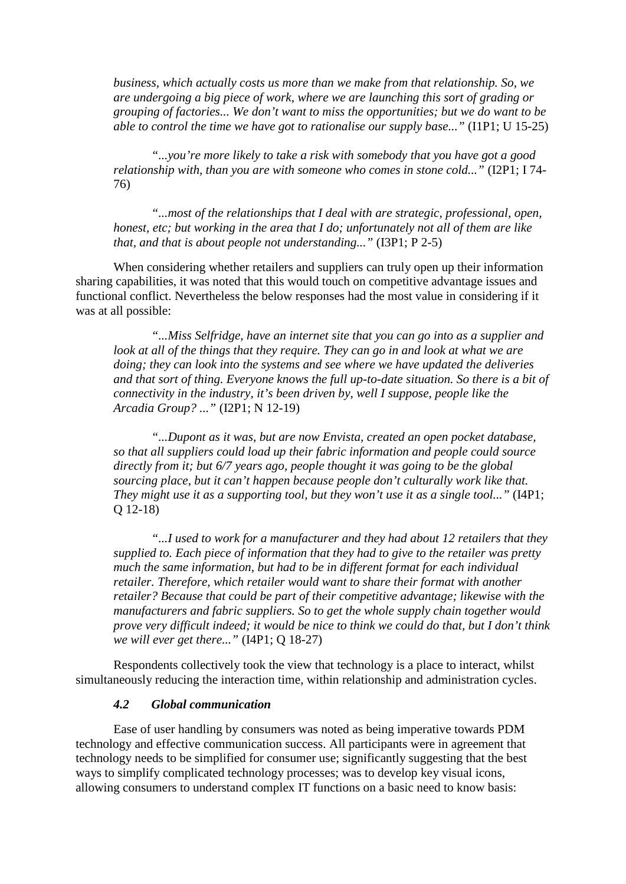*business, which actually costs us more than we make from that relationship. So, we are undergoing a big piece of work, where we are launching this sort of grading or grouping of factories... We don't want to miss the opportunities; but we do want to be able to control the time we have got to rationalise our supply base..."* (I1P1; U 15-25)

*"...you're more likely to take a risk with somebody that you have got a good relationship with, than you are with someone who comes in stone cold..."* (I2P1; I 74- 76)

*"...most of the relationships that I deal with are strategic, professional, open, honest, etc; but working in the area that I do; unfortunately not all of them are like that, and that is about people not understanding..."* (I3P1; P 2-5)

When considering whether retailers and suppliers can truly open up their information sharing capabilities, it was noted that this would touch on competitive advantage issues and functional conflict. Nevertheless the below responses had the most value in considering if it was at all possible:

*"...Miss Selfridge, have an internet site that you can go into as a supplier and look at all of the things that they require. They can go in and look at what we are doing; they can look into the systems and see where we have updated the deliveries and that sort of thing. Everyone knows the full up-to-date situation. So there is a bit of connectivity in the industry, it's been driven by, well I suppose, people like the Arcadia Group? ..."* (I2P1; N 12-19)

*"...Dupont as it was, but are now Envista, created an open pocket database, so that all suppliers could load up their fabric information and people could source directly from it; but 6/7 years ago, people thought it was going to be the global sourcing place, but it can't happen because people don't culturally work like that. They might use it as a supporting tool, but they won't use it as a single tool..."* (I4P1; Q 12-18)

*"...I used to work for a manufacturer and they had about 12 retailers that they supplied to. Each piece of information that they had to give to the retailer was pretty much the same information, but had to be in different format for each individual retailer. Therefore, which retailer would want to share their format with another retailer? Because that could be part of their competitive advantage; likewise with the manufacturers and fabric suppliers. So to get the whole supply chain together would prove very difficult indeed; it would be nice to think we could do that, but I don't think we will ever get there..."* (I4P1; Q 18-27)

Respondents collectively took the view that technology is a place to interact, whilst simultaneously reducing the interaction time, within relationship and administration cycles.

#### *4.2 Global communication*

Ease of user handling by consumers was noted as being imperative towards PDM technology and effective communication success. All participants were in agreement that technology needs to be simplified for consumer use; significantly suggesting that the best ways to simplify complicated technology processes; was to develop key visual icons, allowing consumers to understand complex IT functions on a basic need to know basis: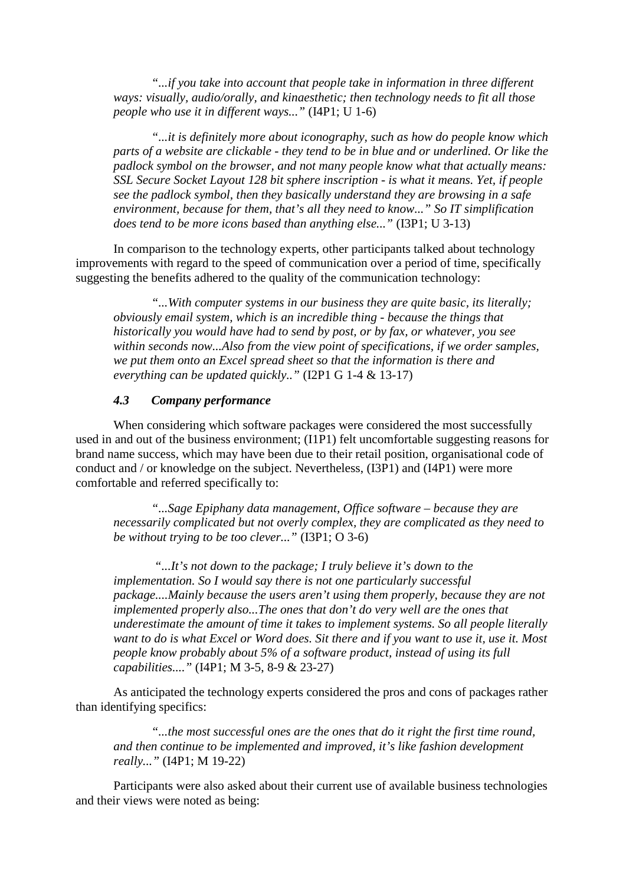*"...if you take into account that people take in information in three different ways: visually, audio/orally, and kinaesthetic; then technology needs to fit all those people who use it in different ways..."* (I4P1; U 1-6)

*"...it is definitely more about iconography, such as how do people know which parts of a website are clickable - they tend to be in blue and or underlined. Or like the padlock symbol on the browser, and not many people know what that actually means: SSL Secure Socket Layout 128 bit sphere inscription - is what it means. Yet, if people see the padlock symbol, then they basically understand they are browsing in a safe environment, because for them, that's all they need to know..." So IT simplification does tend to be more icons based than anything else..."* (I3P1; U 3-13)

In comparison to the technology experts, other participants talked about technology improvements with regard to the speed of communication over a period of time, specifically suggesting the benefits adhered to the quality of the communication technology:

*"...With computer systems in our business they are quite basic, its literally; obviously email system, which is an incredible thing - because the things that historically you would have had to send by post, or by fax, or whatever, you see within seconds now...Also from the view point of specifications, if we order samples, we put them onto an Excel spread sheet so that the information is there and everything can be updated quickly.."* (I2P1 G 1-4 & 13-17)

## *4.3 Company performance*

When considering which software packages were considered the most successfully used in and out of the business environment; (I1P1) felt uncomfortable suggesting reasons for brand name success, which may have been due to their retail position, organisational code of conduct and / or knowledge on the subject. Nevertheless, (I3P1) and (I4P1) were more comfortable and referred specifically to:

*"...Sage Epiphany data management, Office software – because they are necessarily complicated but not overly complex, they are complicated as they need to be without trying to be too clever..."* (I3P1; O 3-6)

*"...It's not down to the package; I truly believe it's down to the implementation. So I would say there is not one particularly successful package....Mainly because the users aren't using them properly, because they are not implemented properly also...The ones that don't do very well are the ones that underestimate the amount of time it takes to implement systems. So all people literally want to do is what Excel or Word does. Sit there and if you want to use it, use it. Most people know probably about 5% of a software product, instead of using its full capabilities...."* (I4P1; M 3-5, 8-9 & 23-27)

As anticipated the technology experts considered the pros and cons of packages rather than identifying specifics:

*"...the most successful ones are the ones that do it right the first time round, and then continue to be implemented and improved, it's like fashion development really..."* (I4P1; M 19-22)

Participants were also asked about their current use of available business technologies and their views were noted as being: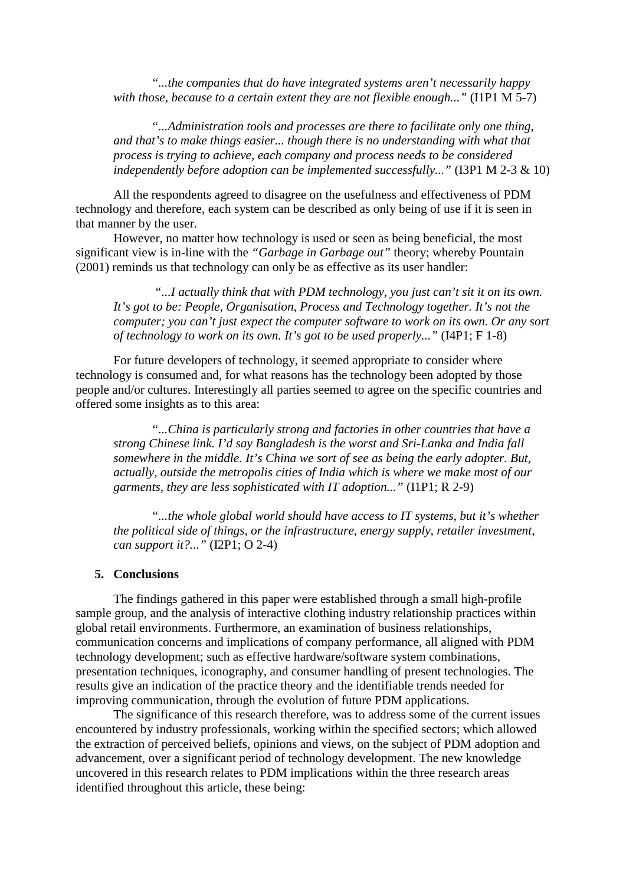*"...the companies that do have integrated systems aren't necessarily happy with those, because to a certain extent they are not flexible enough..."* (I1P1 M 5-7)

*"...Administration tools and processes are there to facilitate only one thing, and that's to make things easier... though there is no understanding with what that process is trying to achieve, each company and process needs to be considered independently before adoption can be implemented successfully..."* (I3P1 M 2-3 & 10)

All the respondents agreed to disagree on the usefulness and effectiveness of PDM technology and therefore, each system can be described as only being of use if it is seen in that manner by the user.

However, no matter how technology is used or seen as being beneficial, the most significant view is in-line with the *"Garbage in Garbage out"* theory; whereby Pountain (2001) reminds us that technology can only be as effective as its user handler:

*"...I actually think that with PDM technology, you just can't sit it on its own. It's got to be: People, Organisation, Process and Technology together. It's not the computer; you can't just expect the computer software to work on its own. Or any sort of technology to work on its own. It's got to be used properly..."* (I4P1; F 1-8)

For future developers of technology, it seemed appropriate to consider where technology is consumed and, for what reasons has the technology been adopted by those people and/or cultures. Interestingly all parties seemed to agree on the specific countries and offered some insights as to this area:

*"...China is particularly strong and factories in other countries that have a strong Chinese link. I'd say Bangladesh is the worst and Sri-Lanka and India fall somewhere in the middle. It's China we sort of see as being the early adopter. But, actually, outside the metropolis cities of India which is where we make most of our garments, they are less sophisticated with IT adoption..."* (I1P1; R 2-9)

*"...the whole global world should have access to IT systems, but it's whether the political side of things, or the infrastructure, energy supply, retailer investment, can support it?..."* (I2P1; O 2-4)

## **5. Conclusions**

The findings gathered in this paper were established through a small high-profile sample group, and the analysis of interactive clothing industry relationship practices within global retail environments. Furthermore, an examination of business relationships, communication concerns and implications of company performance, all aligned with PDM technology development; such as effective hardware/software system combinations, presentation techniques, iconography, and consumer handling of present technologies. The results give an indication of the practice theory and the identifiable trends needed for improving communication, through the evolution of future PDM applications.

The significance of this research therefore, was to address some of the current issues encountered by industry professionals, working within the specified sectors; which allowed the extraction of perceived beliefs, opinions and views, on the subject of PDM adoption and advancement, over a significant period of technology development. The new knowledge uncovered in this research relates to PDM implications within the three research areas identified throughout this article, these being: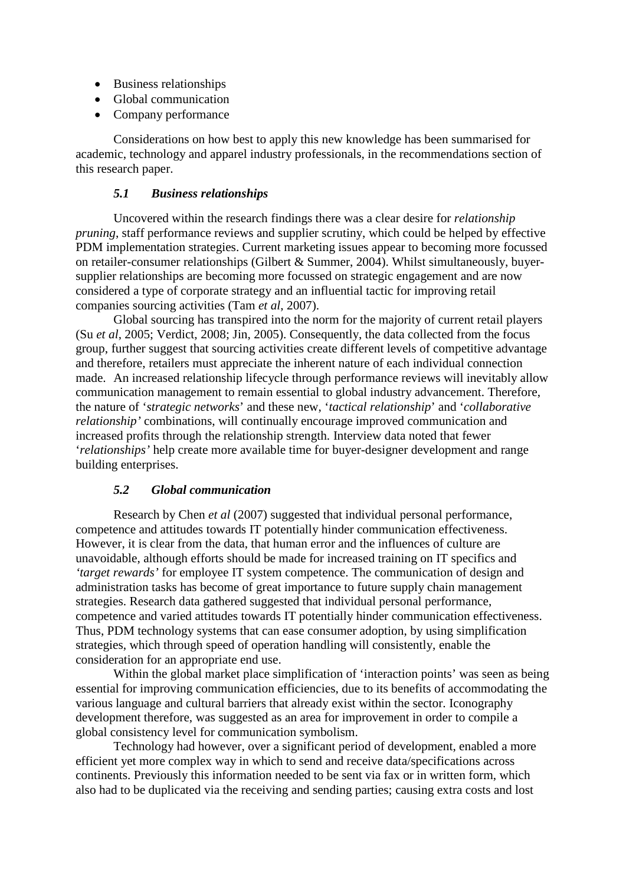- Business relationships
- Global communication
- Company performance

Considerations on how best to apply this new knowledge has been summarised for academic, technology and apparel industry professionals, in the recommendations section of this research paper.

# *5.1 Business relationships*

Uncovered within the research findings there was a clear desire for *relationship pruning*, staff performance reviews and supplier scrutiny, which could be helped by effective PDM implementation strategies. Current marketing issues appear to becoming more focussed on retailer-consumer relationships (Gilbert & Summer, 2004). Whilst simultaneously, buyersupplier relationships are becoming more focussed on strategic engagement and are now considered a type of corporate strategy and an influential tactic for improving retail companies sourcing activities (Tam *et al*, 2007).

Global sourcing has transpired into the norm for the majority of current retail players (Su *et al*, 2005; Verdict, 2008; Jin, 2005). Consequently, the data collected from the focus group, further suggest that sourcing activities create different levels of competitive advantage and therefore, retailers must appreciate the inherent nature of each individual connection made. An increased relationship lifecycle through performance reviews will inevitably allow communication management to remain essential to global industry advancement. Therefore, the nature of '*strategic networks*' and these new, '*tactical relationship*' and '*collaborative relationship'* combinations, will continually encourage improved communication and increased profits through the relationship strength. Interview data noted that fewer '*relationships'* help create more available time for buyer-designer development and range building enterprises.

## *5.2 Global communication*

Research by Chen *et al* (2007) suggested that individual personal performance, competence and attitudes towards IT potentially hinder communication effectiveness. However, it is clear from the data, that human error and the influences of culture are unavoidable, although efforts should be made for increased training on IT specifics and *'target rewards'* for employee IT system competence. The communication of design and administration tasks has become of great importance to future supply chain management strategies. Research data gathered suggested that individual personal performance, competence and varied attitudes towards IT potentially hinder communication effectiveness. Thus, PDM technology systems that can ease consumer adoption, by using simplification strategies, which through speed of operation handling will consistently, enable the consideration for an appropriate end use.

Within the global market place simplification of 'interaction points' was seen as being essential for improving communication efficiencies, due to its benefits of accommodating the various language and cultural barriers that already exist within the sector. Iconography development therefore, was suggested as an area for improvement in order to compile a global consistency level for communication symbolism.

Technology had however, over a significant period of development, enabled a more efficient yet more complex way in which to send and receive data/specifications across continents. Previously this information needed to be sent via fax or in written form, which also had to be duplicated via the receiving and sending parties; causing extra costs and lost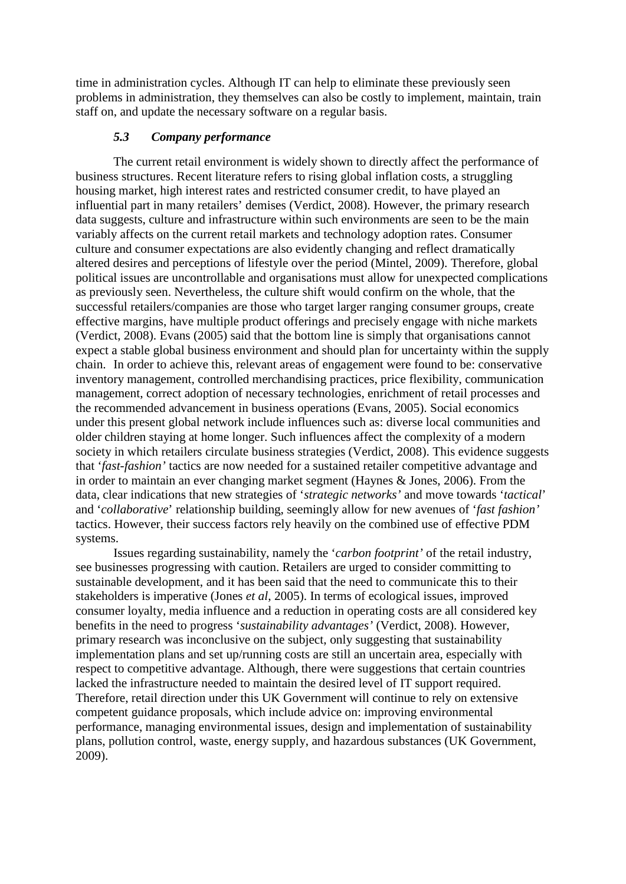time in administration cycles. Although IT can help to eliminate these previously seen problems in administration, they themselves can also be costly to implement, maintain, train staff on, and update the necessary software on a regular basis.

# *5.3 Company performance*

The current retail environment is widely shown to directly affect the performance of business structures. Recent literature refers to rising global inflation costs, a struggling housing market, high interest rates and restricted consumer credit, to have played an influential part in many retailers' demises (Verdict, 2008). However, the primary research data suggests, culture and infrastructure within such environments are seen to be the main variably affects on the current retail markets and technology adoption rates. Consumer culture and consumer expectations are also evidently changing and reflect dramatically altered desires and perceptions of lifestyle over the period (Mintel, 2009). Therefore, global political issues are uncontrollable and organisations must allow for unexpected complications as previously seen. Nevertheless, the culture shift would confirm on the whole, that the successful retailers/companies are those who target larger ranging consumer groups, create effective margins, have multiple product offerings and precisely engage with niche markets (Verdict, 2008). Evans (2005) said that the bottom line is simply that organisations cannot expect a stable global business environment and should plan for uncertainty within the supply chain. In order to achieve this, relevant areas of engagement were found to be: conservative inventory management, controlled merchandising practices, price flexibility, communication management, correct adoption of necessary technologies, enrichment of retail processes and the recommended advancement in business operations (Evans, 2005). Social economics under this present global network include influences such as: diverse local communities and older children staying at home longer. Such influences affect the complexity of a modern society in which retailers circulate business strategies (Verdict, 2008). This evidence suggests that '*fast-fashion'* tactics are now needed for a sustained retailer competitive advantage and in order to maintain an ever changing market segment (Haynes & Jones, 2006). From the data, clear indications that new strategies of '*strategic networks'* and move towards '*tactical*' and '*collaborative*' relationship building, seemingly allow for new avenues of '*fast fashion'* tactics. However, their success factors rely heavily on the combined use of effective PDM systems.

Issues regarding sustainability, namely the '*carbon footprint'* of the retail industry, see businesses progressing with caution. Retailers are urged to consider committing to sustainable development, and it has been said that the need to communicate this to their stakeholders is imperative (Jones *et al*, 2005). In terms of ecological issues, improved consumer loyalty, media influence and a reduction in operating costs are all considered key benefits in the need to progress '*sustainability advantages'* (Verdict, 2008). However, primary research was inconclusive on the subject, only suggesting that sustainability implementation plans and set up/running costs are still an uncertain area, especially with respect to competitive advantage. Although, there were suggestions that certain countries lacked the infrastructure needed to maintain the desired level of IT support required. Therefore, retail direction under this UK Government will continue to rely on extensive competent guidance proposals, which include advice on: improving environmental performance, managing environmental issues, design and implementation of sustainability plans, pollution control, waste, energy supply, and hazardous substances (UK Government, 2009).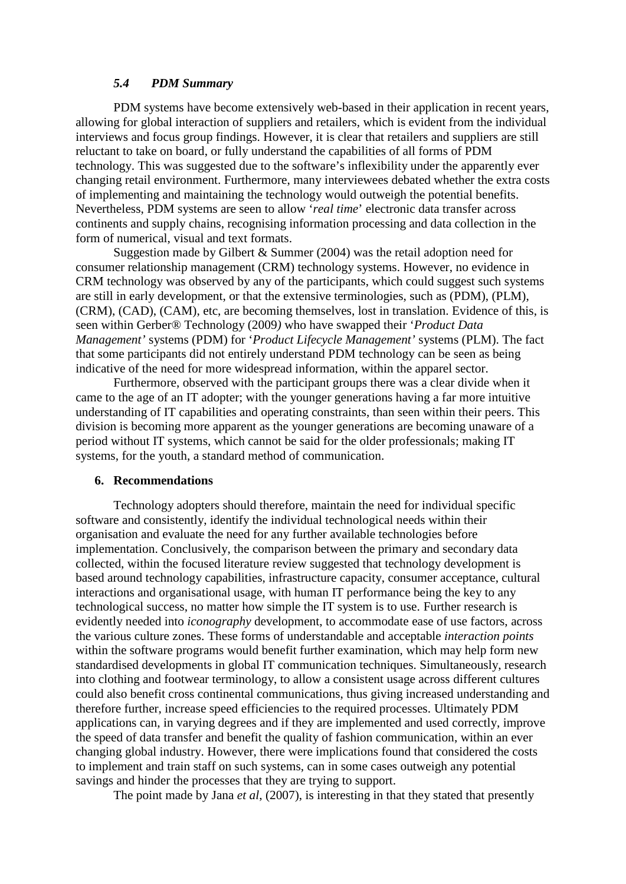## *5.4 PDM Summary*

PDM systems have become extensively web-based in their application in recent years, allowing for global interaction of suppliers and retailers, which is evident from the individual interviews and focus group findings. However, it is clear that retailers and suppliers are still reluctant to take on board, or fully understand the capabilities of all forms of PDM technology. This was suggested due to the software's inflexibility under the apparently ever changing retail environment. Furthermore, many interviewees debated whether the extra costs of implementing and maintaining the technology would outweigh the potential benefits. Nevertheless, PDM systems are seen to allow '*real time*' electronic data transfer across continents and supply chains, recognising information processing and data collection in the form of numerical, visual and text formats.

Suggestion made by Gilbert & Summer (2004) was the retail adoption need for consumer relationship management (CRM) technology systems. However, no evidence in CRM technology was observed by any of the participants, which could suggest such systems are still in early development, or that the extensive terminologies, such as (PDM), (PLM), (CRM), (CAD), (CAM), etc, are becoming themselves, lost in translation. Evidence of this, is seen within Gerber® Technology (2009*)* who have swapped their '*Product Data Management'* systems (PDM) for '*Product Lifecycle Management'* systems (PLM). The fact that some participants did not entirely understand PDM technology can be seen as being indicative of the need for more widespread information, within the apparel sector.

Furthermore, observed with the participant groups there was a clear divide when it came to the age of an IT adopter; with the younger generations having a far more intuitive understanding of IT capabilities and operating constraints, than seen within their peers. This division is becoming more apparent as the younger generations are becoming unaware of a period without IT systems, which cannot be said for the older professionals; making IT systems, for the youth, a standard method of communication.

#### **6. Recommendations**

Technology adopters should therefore, maintain the need for individual specific software and consistently, identify the individual technological needs within their organisation and evaluate the need for any further available technologies before implementation. Conclusively, the comparison between the primary and secondary data collected, within the focused literature review suggested that technology development is based around technology capabilities, infrastructure capacity, consumer acceptance, cultural interactions and organisational usage, with human IT performance being the key to any technological success, no matter how simple the IT system is to use. Further research is evidently needed into *iconography* development, to accommodate ease of use factors, across the various culture zones. These forms of understandable and acceptable *interaction points*  within the software programs would benefit further examination, which may help form new standardised developments in global IT communication techniques. Simultaneously, research into clothing and footwear terminology, to allow a consistent usage across different cultures could also benefit cross continental communications, thus giving increased understanding and therefore further, increase speed efficiencies to the required processes. Ultimately PDM applications can, in varying degrees and if they are implemented and used correctly, improve the speed of data transfer and benefit the quality of fashion communication, within an ever changing global industry. However, there were implications found that considered the costs to implement and train staff on such systems, can in some cases outweigh any potential savings and hinder the processes that they are trying to support.

The point made by Jana *et al*, (2007), is interesting in that they stated that presently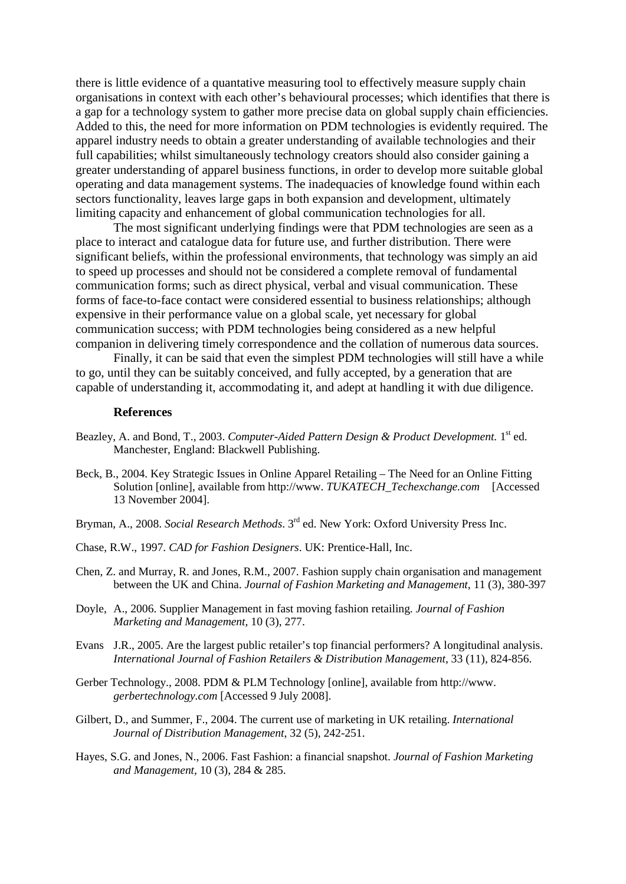there is little evidence of a quantative measuring tool to effectively measure supply chain organisations in context with each other's behavioural processes; which identifies that there is a gap for a technology system to gather more precise data on global supply chain efficiencies. Added to this, the need for more information on PDM technologies is evidently required. The apparel industry needs to obtain a greater understanding of available technologies and their full capabilities; whilst simultaneously technology creators should also consider gaining a greater understanding of apparel business functions, in order to develop more suitable global operating and data management systems. The inadequacies of knowledge found within each sectors functionality, leaves large gaps in both expansion and development, ultimately limiting capacity and enhancement of global communication technologies for all.

The most significant underlying findings were that PDM technologies are seen as a place to interact and catalogue data for future use, and further distribution. There were significant beliefs, within the professional environments, that technology was simply an aid to speed up processes and should not be considered a complete removal of fundamental communication forms; such as direct physical, verbal and visual communication. These forms of face-to-face contact were considered essential to business relationships; although expensive in their performance value on a global scale, yet necessary for global communication success; with PDM technologies being considered as a new helpful companion in delivering timely correspondence and the collation of numerous data sources.

Finally, it can be said that even the simplest PDM technologies will still have a while to go, until they can be suitably conceived, and fully accepted, by a generation that are capable of understanding it, accommodating it, and adept at handling it with due diligence.

#### **References**

- Beazley, A. and Bond, T., 2003. *Computer-Aided Pattern Design & Product Development*. 1<sup>st</sup> ed. Manchester, England: Blackwell Publishing.
- Beck, B., 2004. Key Strategic Issues in Online Apparel Retailing The Need for an Online Fitting Solution [online], available from http://www. *TUKATECH\_Techexchange.com* [Accessed 13 November 2004].
- Bryman, A., 2008. *Social Research Methods*. 3rd ed. New York: Oxford University Press Inc.
- Chase, R.W., 1997. *CAD for Fashion Designers*. UK: Prentice-Hall, Inc.
- Chen, Z. and Murray, R. and Jones, R.M., 2007. Fashion supply chain organisation and management between the UK and China. *Journal of Fashion Marketing and Management*, 11 (3), 380-397
- Doyle, A., 2006. Supplier Management in fast moving fashion retailing. *Journal of Fashion Marketing and Management,* 10 (3), 277.
- Evans J.R., 2005. Are the largest public retailer's top financial performers? A longitudinal analysis. *International Journal of Fashion Retailers & Distribution Management*, 33 (11), 824-856.
- Gerber Technology., 2008. PDM & PLM Technology [online], available from http://www. *gerbertechnology.com* [Accessed 9 July 2008].
- Gilbert, D., and Summer, F., 2004. The current use of marketing in UK retailing. *International Journal of Distribution Management*, 32 (5), 242-251.
- Hayes, S.G. and Jones, N., 2006. Fast Fashion: a financial snapshot. *Journal of Fashion Marketing and Management,* 10 (3), 284 & 285.